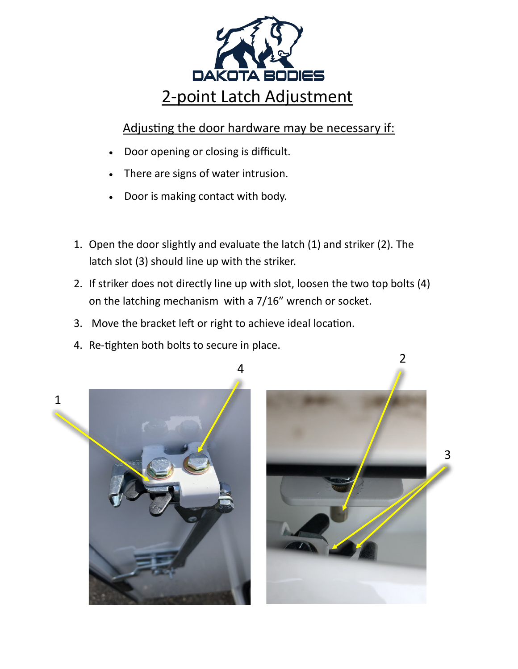

## Adjusting the door hardware may be necessary if:

- Door opening or closing is difficult.
- There are signs of water intrusion.
- Door is making contact with body.
- 1. Open the door slightly and evaluate the latch (1) and striker (2). The latch slot (3) should line up with the striker.
- 2. If striker does not directly line up with slot, loosen the two top bolts (4) on the latching mechanism with a 7/16" wrench or socket.
- 3. Move the bracket left or right to achieve ideal location.
- 4. Re-tighten both bolts to secure in place.